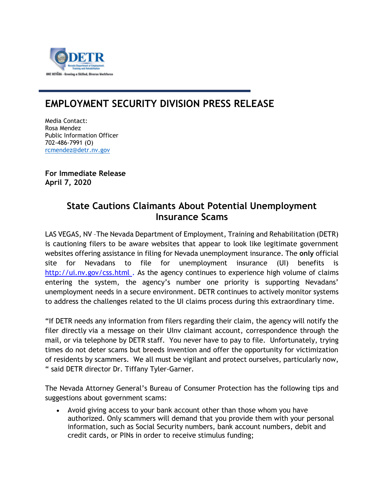

## **EMPLOYMENT SECURITY DIVISION PRESS RELEASE**

Media Contact: Rosa Mendez Public Information Officer 702-486-7991 (O) [rcmendez@detr.nv.gov](mailto:rcmendez@detr.nv.gov)

**For Immediate Release April 7, 2020** 

## **State Cautions Claimants About Potential Unemployment Insurance Scams**

LAS VEGAS, NV –The Nevada Department of Employment, Training and Rehabilitation (DETR) is cautioning filers to be aware websites that appear to look like legitimate government websites offering assistance in filing for Nevada unemployment insurance. The **only** official site for Nevadans to file for unemployment insurance (UI) benefits is [http://ui.nv.gov/css.html](https://protect-us.mimecast.com/s/lMiKCKrk1whoQAqFMCoq5?domain=ui.nv.gov) . As the agency continues to experience high volume of claims entering the system, the agency's number one priority is supporting Nevadans' unemployment needs in a secure environment. DETR continues to actively monitor systems to address the challenges related to the UI claims process during this extraordinary time.

"If DETR needs any information from filers regarding their claim, the agency will notify the filer directly via a message on their UInv claimant account, correspondence through the mail, or via telephone by DETR staff. You never have to pay to file. Unfortunately, trying times do not deter scams but breeds invention and offer the opportunity for victimization of residents by scammers. We all must be vigilant and protect ourselves, particularly now, " said DETR director Dr. Tiffany Tyler-Garner.

The Nevada Attorney General's Bureau of Consumer Protection has the following tips and suggestions about government scams:

• Avoid giving access to your bank account other than those whom you have authorized. Only scammers will demand that you provide them with your personal information, such as Social Security numbers, bank account numbers, debit and credit cards, or PINs in order to receive stimulus funding;